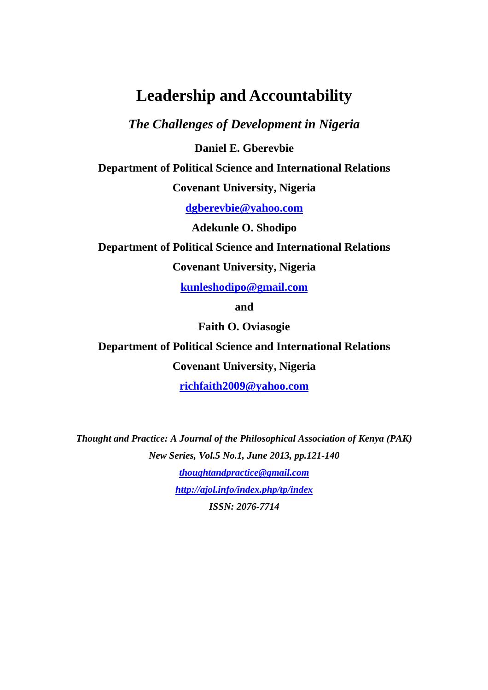# **Leadership and Accountability**

*The Challenges of Development in Nigeria* 

**Daniel E. Gberevbie** 

**Department of Political Science and International Relations** 

**Covenant University, Nigeria** 

**dgberevbie@yahoo.com**

**Adekunle O. Shodipo** 

**Department of Political Science and International Relations** 

**Covenant University, Nigeria** 

**kunleshodipo@gmail.com**

**and** 

**Faith O. Oviasogie** 

**Department of Political Science and International Relations** 

**Covenant University, Nigeria** 

**richfaith2009@yahoo.com**

*Thought and Practice: A Journal of the Philosophical Association of Kenya (PAK) New Series, Vol.5 No.1, June 2013, pp.121-140 thoughtandpractice@gmail.com http://ajol.info/index.php/tp/index ISSN: 2076-7714*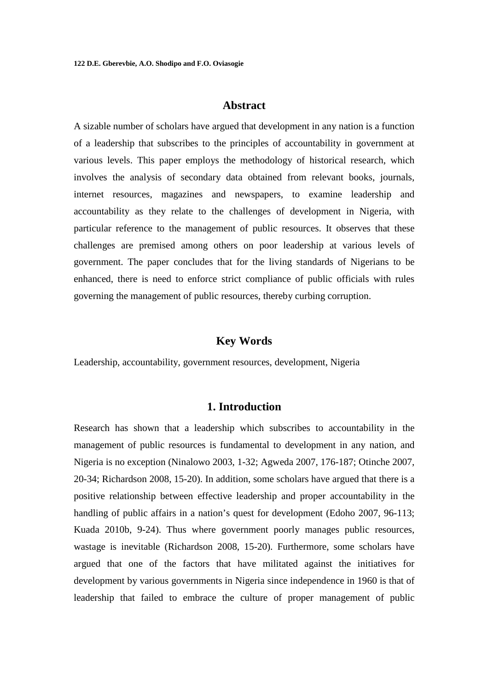# **Abstract**

A sizable number of scholars have argued that development in any nation is a function of a leadership that subscribes to the principles of accountability in government at various levels. This paper employs the methodology of historical research, which involves the analysis of secondary data obtained from relevant books, journals, internet resources, magazines and newspapers, to examine leadership and accountability as they relate to the challenges of development in Nigeria, with particular reference to the management of public resources. It observes that these challenges are premised among others on poor leadership at various levels of government. The paper concludes that for the living standards of Nigerians to be enhanced, there is need to enforce strict compliance of public officials with rules governing the management of public resources, thereby curbing corruption.

## **Key Words**

Leadership, accountability, government resources, development, Nigeria

## **1. Introduction**

Research has shown that a leadership which subscribes to accountability in the management of public resources is fundamental to development in any nation, and Nigeria is no exception (Ninalowo 2003, 1-32; Agweda 2007, 176-187; Otinche 2007, 20-34; Richardson 2008, 15-20). In addition, some scholars have argued that there is a positive relationship between effective leadership and proper accountability in the handling of public affairs in a nation's quest for development (Edoho 2007, 96-113; Kuada 2010b, 9-24). Thus where government poorly manages public resources, wastage is inevitable (Richardson 2008, 15-20). Furthermore, some scholars have argued that one of the factors that have militated against the initiatives for development by various governments in Nigeria since independence in 1960 is that of leadership that failed to embrace the culture of proper management of public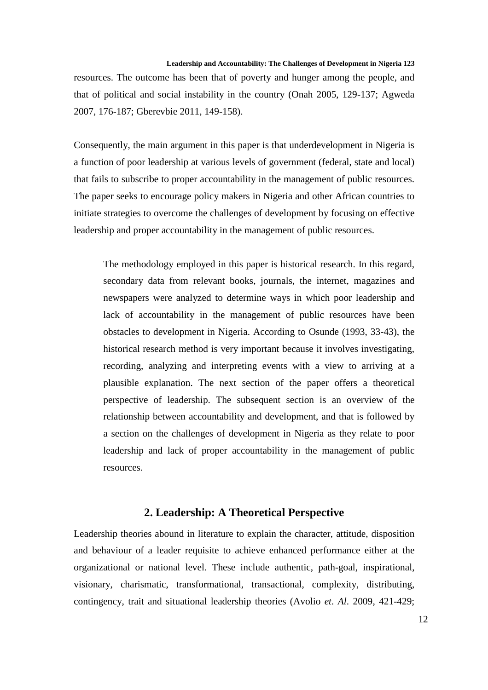resources. The outcome has been that of poverty and hunger among the people, and that of political and social instability in the country (Onah 2005, 129-137; Agweda 2007, 176-187; Gberevbie 2011, 149-158).

Consequently, the main argument in this paper is that underdevelopment in Nigeria is a function of poor leadership at various levels of government (federal, state and local) that fails to subscribe to proper accountability in the management of public resources. The paper seeks to encourage policy makers in Nigeria and other African countries to initiate strategies to overcome the challenges of development by focusing on effective leadership and proper accountability in the management of public resources.

The methodology employed in this paper is historical research. In this regard, secondary data from relevant books, journals, the internet, magazines and newspapers were analyzed to determine ways in which poor leadership and lack of accountability in the management of public resources have been obstacles to development in Nigeria. According to Osunde (1993, 33-43), the historical research method is very important because it involves investigating, recording, analyzing and interpreting events with a view to arriving at a plausible explanation. The next section of the paper offers a theoretical perspective of leadership. The subsequent section is an overview of the relationship between accountability and development, and that is followed by a section on the challenges of development in Nigeria as they relate to poor leadership and lack of proper accountability in the management of public resources.

## **2. Leadership: A Theoretical Perspective**

Leadership theories abound in literature to explain the character, attitude, disposition and behaviour of a leader requisite to achieve enhanced performance either at the organizational or national level. These include authentic, path-goal, inspirational, visionary, charismatic, transformational, transactional, complexity, distributing, contingency, trait and situational leadership theories (Avolio *et*. *Al*. 2009, 421-429;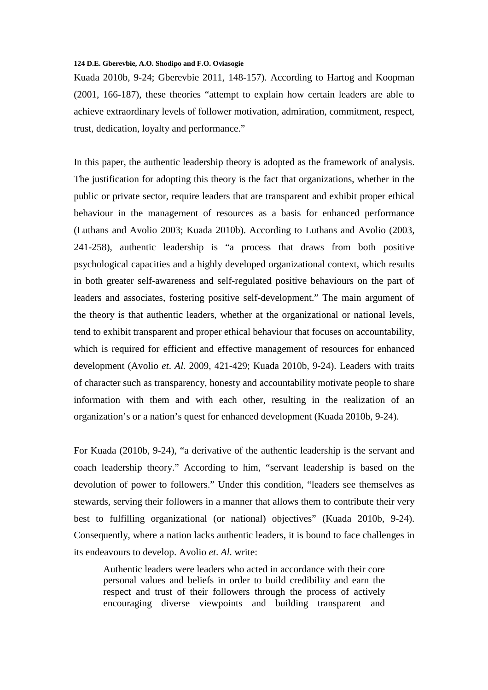Kuada 2010b, 9-24; Gberevbie 2011, 148-157). According to Hartog and Koopman (2001, 166-187), these theories "attempt to explain how certain leaders are able to achieve extraordinary levels of follower motivation, admiration, commitment, respect, trust, dedication, loyalty and performance."

In this paper, the authentic leadership theory is adopted as the framework of analysis. The justification for adopting this theory is the fact that organizations, whether in the public or private sector, require leaders that are transparent and exhibit proper ethical behaviour in the management of resources as a basis for enhanced performance (Luthans and Avolio 2003; Kuada 2010b). According to Luthans and Avolio (2003, 241-258), authentic leadership is "a process that draws from both positive psychological capacities and a highly developed organizational context, which results in both greater self-awareness and self-regulated positive behaviours on the part of leaders and associates, fostering positive self-development." The main argument of the theory is that authentic leaders, whether at the organizational or national levels, tend to exhibit transparent and proper ethical behaviour that focuses on accountability, which is required for efficient and effective management of resources for enhanced development (Avolio *et*. *Al*. 2009, 421-429; Kuada 2010b, 9-24). Leaders with traits of character such as transparency, honesty and accountability motivate people to share information with them and with each other, resulting in the realization of an organization's or a nation's quest for enhanced development (Kuada 2010b, 9-24).

For Kuada (2010b, 9-24), "a derivative of the authentic leadership is the servant and coach leadership theory." According to him, "servant leadership is based on the devolution of power to followers." Under this condition, "leaders see themselves as stewards, serving their followers in a manner that allows them to contribute their very best to fulfilling organizational (or national) objectives" (Kuada 2010b, 9-24). Consequently, where a nation lacks authentic leaders, it is bound to face challenges in its endeavours to develop. Avolio *et*. *Al*. write:

Authentic leaders were leaders who acted in accordance with their core personal values and beliefs in order to build credibility and earn the respect and trust of their followers through the process of actively encouraging diverse viewpoints and building transparent and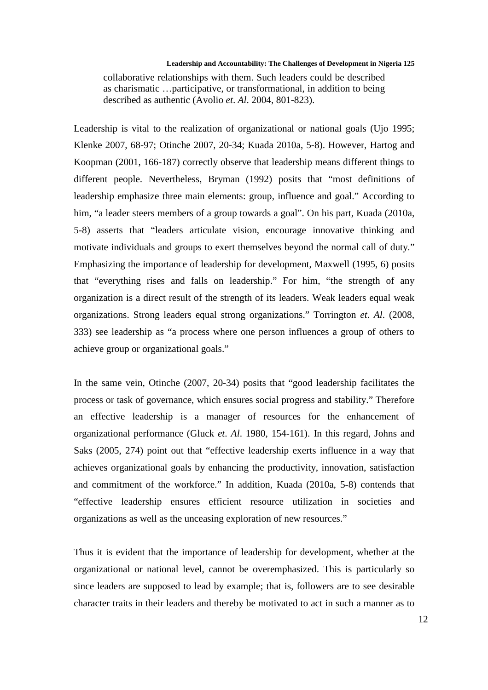collaborative relationships with them. Such leaders could be described as charismatic …participative, or transformational, in addition to being described as authentic (Avolio *et*. *Al*. 2004, 801-823).

Leadership is vital to the realization of organizational or national goals (Ujo 1995; Klenke 2007, 68-97; Otinche 2007, 20-34; Kuada 2010a, 5-8). However, Hartog and Koopman (2001, 166-187) correctly observe that leadership means different things to different people. Nevertheless, Bryman (1992) posits that "most definitions of leadership emphasize three main elements: group, influence and goal." According to him, "a leader steers members of a group towards a goal". On his part, Kuada (2010a, 5-8) asserts that "leaders articulate vision, encourage innovative thinking and motivate individuals and groups to exert themselves beyond the normal call of duty." Emphasizing the importance of leadership for development, Maxwell (1995, 6) posits that "everything rises and falls on leadership." For him, "the strength of any organization is a direct result of the strength of its leaders. Weak leaders equal weak organizations. Strong leaders equal strong organizations." Torrington *et*. *Al*. (2008, 333) see leadership as "a process where one person influences a group of others to achieve group or organizational goals."

In the same vein, Otinche (2007, 20-34) posits that "good leadership facilitates the process or task of governance, which ensures social progress and stability." Therefore an effective leadership is a manager of resources for the enhancement of organizational performance (Gluck *et*. *Al*. 1980, 154-161). In this regard, Johns and Saks (2005, 274) point out that "effective leadership exerts influence in a way that achieves organizational goals by enhancing the productivity, innovation, satisfaction and commitment of the workforce." In addition, Kuada (2010a, 5-8) contends that "effective leadership ensures efficient resource utilization in societies and organizations as well as the unceasing exploration of new resources."

Thus it is evident that the importance of leadership for development, whether at the organizational or national level, cannot be overemphasized. This is particularly so since leaders are supposed to lead by example; that is, followers are to see desirable character traits in their leaders and thereby be motivated to act in such a manner as to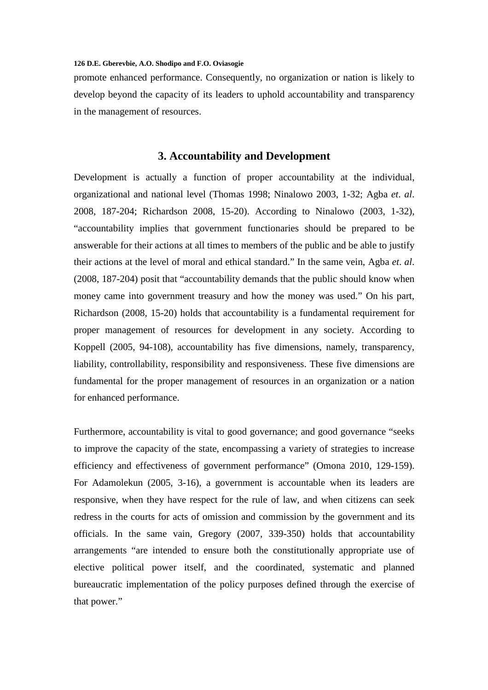promote enhanced performance. Consequently, no organization or nation is likely to develop beyond the capacity of its leaders to uphold accountability and transparency in the management of resources.

## **3. Accountability and Development**

Development is actually a function of proper accountability at the individual, organizational and national level (Thomas 1998; Ninalowo 2003, 1-32; Agba *et*. *al*. 2008, 187-204; Richardson 2008, 15-20). According to Ninalowo (2003, 1-32), "accountability implies that government functionaries should be prepared to be answerable for their actions at all times to members of the public and be able to justify their actions at the level of moral and ethical standard." In the same vein, Agba *et*. *al*. (2008, 187-204) posit that "accountability demands that the public should know when money came into government treasury and how the money was used." On his part, Richardson (2008, 15-20) holds that accountability is a fundamental requirement for proper management of resources for development in any society. According to Koppell (2005, 94-108), accountability has five dimensions, namely, transparency, liability, controllability, responsibility and responsiveness. These five dimensions are fundamental for the proper management of resources in an organization or a nation for enhanced performance.

Furthermore, accountability is vital to good governance; and good governance "seeks to improve the capacity of the state, encompassing a variety of strategies to increase efficiency and effectiveness of government performance" (Omona 2010, 129-159). For Adamolekun (2005, 3-16), a government is accountable when its leaders are responsive, when they have respect for the rule of law, and when citizens can seek redress in the courts for acts of omission and commission by the government and its officials. In the same vain, Gregory (2007, 339-350) holds that accountability arrangements "are intended to ensure both the constitutionally appropriate use of elective political power itself, and the coordinated, systematic and planned bureaucratic implementation of the policy purposes defined through the exercise of that power."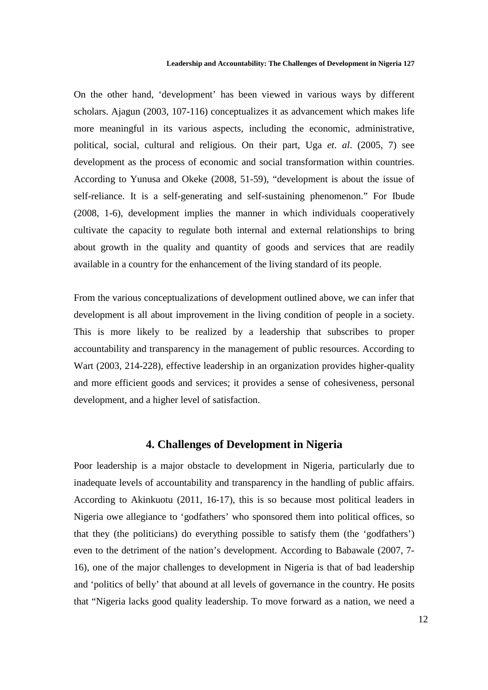On the other hand, 'development' has been viewed in various ways by different scholars. Ajagun (2003, 107-116) conceptualizes it as advancement which makes life more meaningful in its various aspects, including the economic, administrative, political, social, cultural and religious. On their part, Uga *et*. *al*. (2005, 7) see development as the process of economic and social transformation within countries. According to Yunusa and Okeke (2008, 51-59), "development is about the issue of self-reliance. It is a self-generating and self-sustaining phenomenon." For Ibude (2008, 1-6), development implies the manner in which individuals cooperatively cultivate the capacity to regulate both internal and external relationships to bring about growth in the quality and quantity of goods and services that are readily available in a country for the enhancement of the living standard of its people.

From the various conceptualizations of development outlined above, we can infer that development is all about improvement in the living condition of people in a society. This is more likely to be realized by a leadership that subscribes to proper accountability and transparency in the management of public resources. According to Wart (2003, 214-228), effective leadership in an organization provides higher-quality and more efficient goods and services; it provides a sense of cohesiveness, personal development, and a higher level of satisfaction.

# **4. Challenges of Development in Nigeria**

Poor leadership is a major obstacle to development in Nigeria, particularly due to inadequate levels of accountability and transparency in the handling of public affairs. According to Akinkuotu (2011, 16-17), this is so because most political leaders in Nigeria owe allegiance to 'godfathers' who sponsored them into political offices, so that they (the politicians) do everything possible to satisfy them (the 'godfathers') even to the detriment of the nation's development. According to Babawale (2007, 7- 16), one of the major challenges to development in Nigeria is that of bad leadership and 'politics of belly' that abound at all levels of governance in the country. He posits that "Nigeria lacks good quality leadership. To move forward as a nation, we need a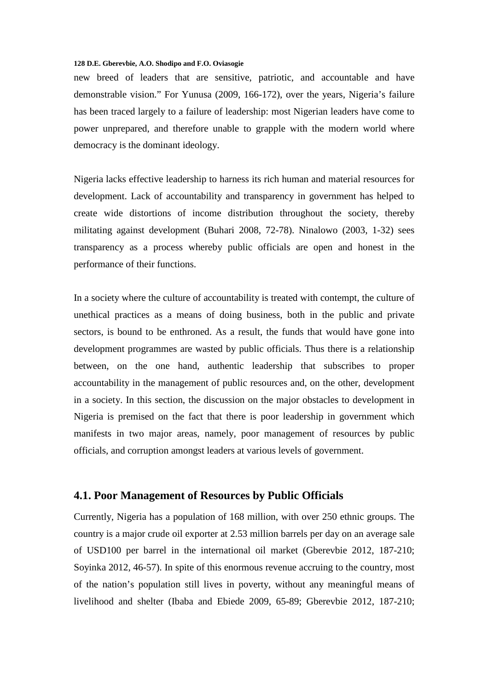new breed of leaders that are sensitive, patriotic, and accountable and have demonstrable vision." For Yunusa (2009, 166-172), over the years, Nigeria's failure has been traced largely to a failure of leadership: most Nigerian leaders have come to power unprepared, and therefore unable to grapple with the modern world where democracy is the dominant ideology.

Nigeria lacks effective leadership to harness its rich human and material resources for development. Lack of accountability and transparency in government has helped to create wide distortions of income distribution throughout the society, thereby militating against development (Buhari 2008, 72-78). Ninalowo (2003, 1-32) sees transparency as a process whereby public officials are open and honest in the performance of their functions.

In a society where the culture of accountability is treated with contempt, the culture of unethical practices as a means of doing business, both in the public and private sectors, is bound to be enthroned. As a result, the funds that would have gone into development programmes are wasted by public officials. Thus there is a relationship between, on the one hand, authentic leadership that subscribes to proper accountability in the management of public resources and, on the other, development in a society. In this section, the discussion on the major obstacles to development in Nigeria is premised on the fact that there is poor leadership in government which manifests in two major areas, namely, poor management of resources by public officials, and corruption amongst leaders at various levels of government.

## **4.1. Poor Management of Resources by Public Officials**

Currently, Nigeria has a population of 168 million, with over 250 ethnic groups. The country is a major crude oil exporter at 2.53 million barrels per day on an average sale of USD100 per barrel in the international oil market (Gberevbie 2012, 187-210; Soyinka 2012, 46-57). In spite of this enormous revenue accruing to the country, most of the nation's population still lives in poverty, without any meaningful means of livelihood and shelter (Ibaba and Ebiede 2009, 65-89; Gberevbie 2012, 187-210;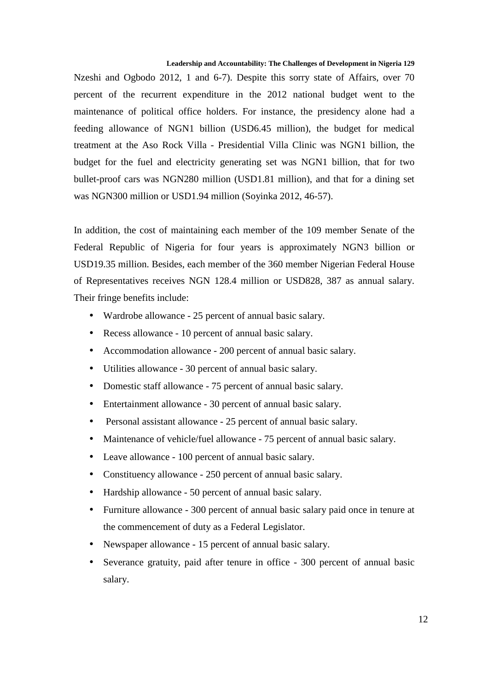Nzeshi and Ogbodo 2012, 1 and 6-7). Despite this sorry state of Affairs, over 70 percent of the recurrent expenditure in the 2012 national budget went to the maintenance of political office holders. For instance, the presidency alone had a feeding allowance of NGN1 billion (USD6.45 million), the budget for medical treatment at the Aso Rock Villa - Presidential Villa Clinic was NGN1 billion, the budget for the fuel and electricity generating set was NGN1 billion, that for two bullet-proof cars was NGN280 million (USD1.81 million), and that for a dining set was NGN300 million or USD1.94 million (Soyinka 2012, 46-57).

In addition, the cost of maintaining each member of the 109 member Senate of the Federal Republic of Nigeria for four years is approximately NGN3 billion or USD19.35 million. Besides, each member of the 360 member Nigerian Federal House of Representatives receives NGN 128.4 million or USD828, 387 as annual salary. Their fringe benefits include:

- Wardrobe allowance 25 percent of annual basic salary.
- Recess allowance 10 percent of annual basic salary.
- Accommodation allowance 200 percent of annual basic salary.
- Utilities allowance 30 percent of annual basic salary.
- Domestic staff allowance 75 percent of annual basic salary.
- Entertainment allowance 30 percent of annual basic salary.
- Personal assistant allowance 25 percent of annual basic salary.
- Maintenance of vehicle/fuel allowance 75 percent of annual basic salary.
- Leave allowance 100 percent of annual basic salary.
- Constituency allowance 250 percent of annual basic salary.
- Hardship allowance 50 percent of annual basic salary.
- Furniture allowance 300 percent of annual basic salary paid once in tenure at the commencement of duty as a Federal Legislator.
- Newspaper allowance 15 percent of annual basic salary.
- Severance gratuity, paid after tenure in office 300 percent of annual basic salary.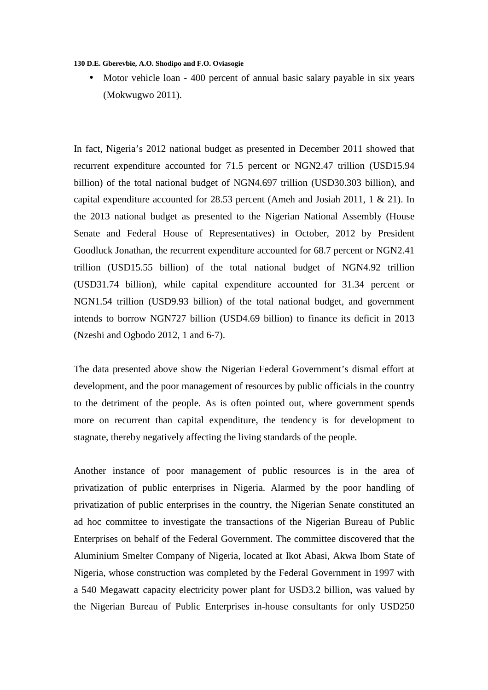Motor vehicle loan - 400 percent of annual basic salary payable in six years (Mokwugwo 2011).

In fact, Nigeria's 2012 national budget as presented in December 2011 showed that recurrent expenditure accounted for 71.5 percent or NGN2.47 trillion (USD15.94 billion) of the total national budget of NGN4.697 trillion (USD30.303 billion), and capital expenditure accounted for 28.53 percent (Ameh and Josiah 2011, 1 & 21). In the 2013 national budget as presented to the Nigerian National Assembly (House Senate and Federal House of Representatives) in October, 2012 by President Goodluck Jonathan, the recurrent expenditure accounted for 68.7 percent or NGN2.41 trillion (USD15.55 billion) of the total national budget of NGN4.92 trillion (USD31.74 billion), while capital expenditure accounted for 31.34 percent or NGN1.54 trillion (USD9.93 billion) of the total national budget, and government intends to borrow NGN727 billion (USD4.69 billion) to finance its deficit in 2013 (Nzeshi and Ogbodo 2012, 1 and 6-7).

The data presented above show the Nigerian Federal Government's dismal effort at development, and the poor management of resources by public officials in the country to the detriment of the people. As is often pointed out, where government spends more on recurrent than capital expenditure, the tendency is for development to stagnate, thereby negatively affecting the living standards of the people.

Another instance of poor management of public resources is in the area of privatization of public enterprises in Nigeria. Alarmed by the poor handling of privatization of public enterprises in the country, the Nigerian Senate constituted an ad hoc committee to investigate the transactions of the Nigerian Bureau of Public Enterprises on behalf of the Federal Government. The committee discovered that the Aluminium Smelter Company of Nigeria, located at Ikot Abasi, Akwa Ibom State of Nigeria, whose construction was completed by the Federal Government in 1997 with a 540 Megawatt capacity electricity power plant for USD3.2 billion, was valued by the Nigerian Bureau of Public Enterprises in-house consultants for only USD250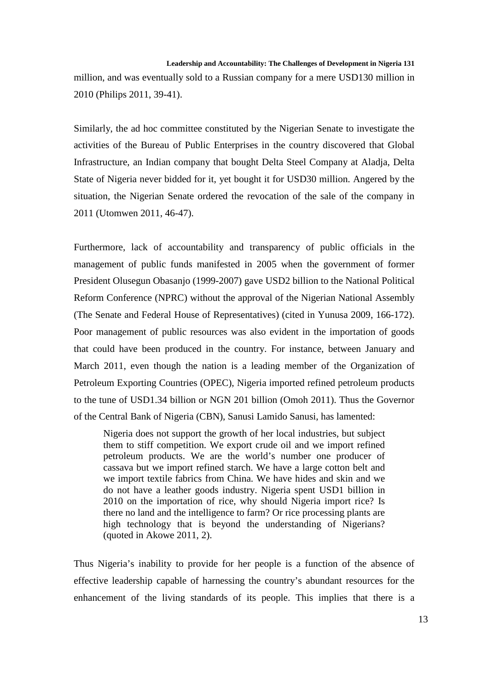million, and was eventually sold to a Russian company for a mere USD130 million in 2010 (Philips 2011, 39-41).

Similarly, the ad hoc committee constituted by the Nigerian Senate to investigate the activities of the Bureau of Public Enterprises in the country discovered that Global Infrastructure, an Indian company that bought Delta Steel Company at Aladja, Delta State of Nigeria never bidded for it, yet bought it for USD30 million. Angered by the situation, the Nigerian Senate ordered the revocation of the sale of the company in 2011 (Utomwen 2011, 46-47).

Furthermore, lack of accountability and transparency of public officials in the management of public funds manifested in 2005 when the government of former President Olusegun Obasanjo (1999-2007) gave USD2 billion to the National Political Reform Conference (NPRC) without the approval of the Nigerian National Assembly (The Senate and Federal House of Representatives) (cited in Yunusa 2009, 166-172). Poor management of public resources was also evident in the importation of goods that could have been produced in the country. For instance, between January and March 2011, even though the nation is a leading member of the Organization of Petroleum Exporting Countries (OPEC), Nigeria imported refined petroleum products to the tune of USD1.34 billion or NGN 201 billion (Omoh 2011). Thus the Governor of the Central Bank of Nigeria (CBN), Sanusi Lamido Sanusi, has lamented:

Nigeria does not support the growth of her local industries, but subject them to stiff competition. We export crude oil and we import refined petroleum products. We are the world's number one producer of cassava but we import refined starch. We have a large cotton belt and we import textile fabrics from China. We have hides and skin and we do not have a leather goods industry. Nigeria spent USD1 billion in 2010 on the importation of rice, why should Nigeria import rice? Is there no land and the intelligence to farm? Or rice processing plants are high technology that is beyond the understanding of Nigerians? (quoted in Akowe 2011, 2).

Thus Nigeria's inability to provide for her people is a function of the absence of effective leadership capable of harnessing the country's abundant resources for the enhancement of the living standards of its people. This implies that there is a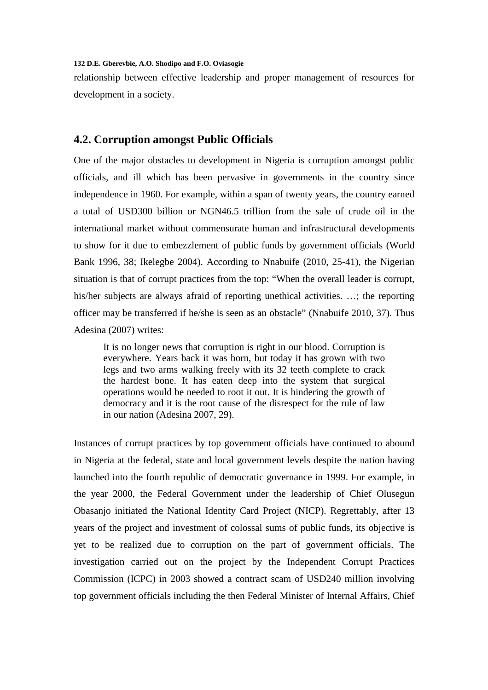relationship between effective leadership and proper management of resources for development in a society.

# **4.2. Corruption amongst Public Officials**

One of the major obstacles to development in Nigeria is corruption amongst public officials, and ill which has been pervasive in governments in the country since independence in 1960. For example, within a span of twenty years, the country earned a total of USD300 billion or NGN46.5 trillion from the sale of crude oil in the international market without commensurate human and infrastructural developments to show for it due to embezzlement of public funds by government officials (World Bank 1996, 38; Ikelegbe 2004). According to Nnabuife (2010, 25-41), the Nigerian situation is that of corrupt practices from the top: "When the overall leader is corrupt, his/her subjects are always afraid of reporting unethical activities. …; the reporting officer may be transferred if he/she is seen as an obstacle" (Nnabuife 2010, 37). Thus Adesina (2007) writes:

It is no longer news that corruption is right in our blood. Corruption is everywhere. Years back it was born, but today it has grown with two legs and two arms walking freely with its 32 teeth complete to crack the hardest bone. It has eaten deep into the system that surgical operations would be needed to root it out. It is hindering the growth of democracy and it is the root cause of the disrespect for the rule of law in our nation (Adesina 2007, 29).

Instances of corrupt practices by top government officials have continued to abound in Nigeria at the federal, state and local government levels despite the nation having launched into the fourth republic of democratic governance in 1999. For example, in the year 2000, the Federal Government under the leadership of Chief Olusegun Obasanjo initiated the National Identity Card Project (NICP). Regrettably, after 13 years of the project and investment of colossal sums of public funds, its objective is yet to be realized due to corruption on the part of government officials. The investigation carried out on the project by the Independent Corrupt Practices Commission (ICPC) in 2003 showed a contract scam of USD240 million involving top government officials including the then Federal Minister of Internal Affairs, Chief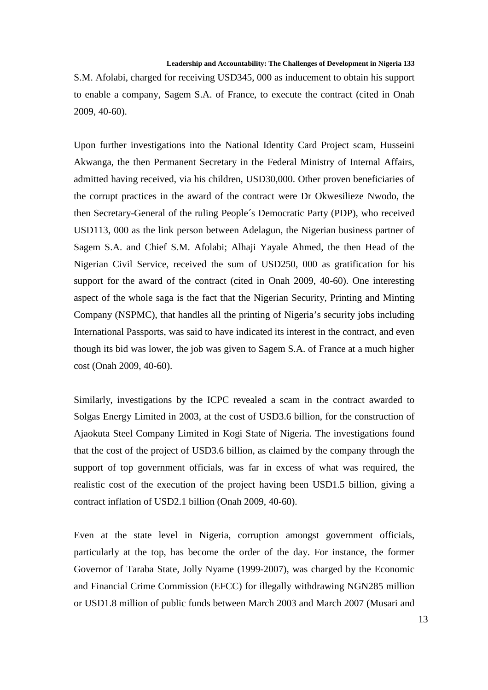S.M. Afolabi, charged for receiving USD345, 000 as inducement to obtain his support to enable a company, Sagem S.A. of France, to execute the contract (cited in Onah 2009, 40-60).

Upon further investigations into the National Identity Card Project scam, Husseini Akwanga, the then Permanent Secretary in the Federal Ministry of Internal Affairs, admitted having received, via his children, USD30,000. Other proven beneficiaries of the corrupt practices in the award of the contract were Dr Okwesilieze Nwodo, the then Secretary-General of the ruling People´s Democratic Party (PDP), who received USD113, 000 as the link person between Adelagun, the Nigerian business partner of Sagem S.A. and Chief S.M. Afolabi; Alhaji Yayale Ahmed, the then Head of the Nigerian Civil Service, received the sum of USD250, 000 as gratification for his support for the award of the contract (cited in Onah 2009, 40-60). One interesting aspect of the whole saga is the fact that the Nigerian Security, Printing and Minting Company (NSPMC), that handles all the printing of Nigeria's security jobs including International Passports, was said to have indicated its interest in the contract, and even though its bid was lower, the job was given to Sagem S.A. of France at a much higher cost (Onah 2009, 40-60).

Similarly, investigations by the ICPC revealed a scam in the contract awarded to Solgas Energy Limited in 2003, at the cost of USD3.6 billion, for the construction of Ajaokuta Steel Company Limited in Kogi State of Nigeria. The investigations found that the cost of the project of USD3.6 billion, as claimed by the company through the support of top government officials, was far in excess of what was required, the realistic cost of the execution of the project having been USD1.5 billion, giving a contract inflation of USD2.1 billion (Onah 2009, 40-60).

Even at the state level in Nigeria, corruption amongst government officials, particularly at the top, has become the order of the day. For instance, the former Governor of Taraba State, Jolly Nyame (1999-2007), was charged by the Economic and Financial Crime Commission (EFCC) for illegally withdrawing NGN285 million or USD1.8 million of public funds between March 2003 and March 2007 (Musari and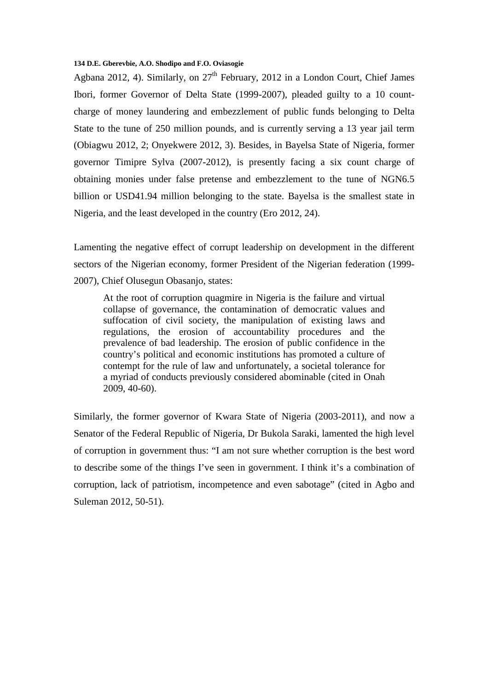Agbana 2012, 4). Similarly, on  $27<sup>th</sup>$  February, 2012 in a London Court, Chief James Ibori, former Governor of Delta State (1999-2007), pleaded guilty to a 10 countcharge of money laundering and embezzlement of public funds belonging to Delta State to the tune of 250 million pounds, and is currently serving a 13 year jail term (Obiagwu 2012, 2; Onyekwere 2012, 3). Besides, in Bayelsa State of Nigeria, former governor Timipre Sylva (2007-2012), is presently facing a six count charge of obtaining monies under false pretense and embezzlement to the tune of NGN6.5 billion or USD41.94 million belonging to the state. Bayelsa is the smallest state in Nigeria, and the least developed in the country (Ero 2012, 24).

Lamenting the negative effect of corrupt leadership on development in the different sectors of the Nigerian economy, former President of the Nigerian federation (1999- 2007), Chief Olusegun Obasanjo, states:

At the root of corruption quagmire in Nigeria is the failure and virtual collapse of governance, the contamination of democratic values and suffocation of civil society, the manipulation of existing laws and regulations, the erosion of accountability procedures and the prevalence of bad leadership. The erosion of public confidence in the country's political and economic institutions has promoted a culture of contempt for the rule of law and unfortunately, a societal tolerance for a myriad of conducts previously considered abominable (cited in Onah 2009, 40-60).

Similarly, the former governor of Kwara State of Nigeria (2003-2011), and now a Senator of the Federal Republic of Nigeria, Dr Bukola Saraki, lamented the high level of corruption in government thus: "I am not sure whether corruption is the best word to describe some of the things I've seen in government. I think it's a combination of corruption, lack of patriotism, incompetence and even sabotage" (cited in Agbo and Suleman 2012, 50-51).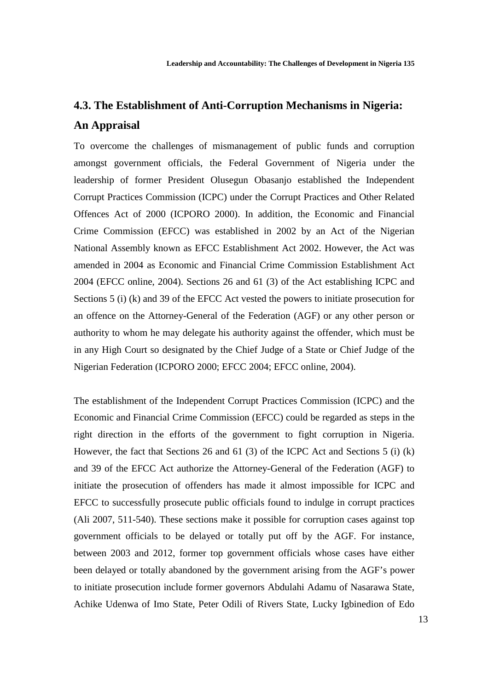# **4.3. The Establishment of Anti-Corruption Mechanisms in Nigeria: An Appraisal**

To overcome the challenges of mismanagement of public funds and corruption amongst government officials, the Federal Government of Nigeria under the leadership of former President Olusegun Obasanjo established the Independent Corrupt Practices Commission (ICPC) under the Corrupt Practices and Other Related Offences Act of 2000 (ICPORO 2000). In addition, the Economic and Financial Crime Commission (EFCC) was established in 2002 by an Act of the Nigerian National Assembly known as EFCC Establishment Act 2002. However, the Act was amended in 2004 as Economic and Financial Crime Commission Establishment Act 2004 (EFCC online, 2004). Sections 26 and 61 (3) of the Act establishing ICPC and Sections 5 (i) (k) and 39 of the EFCC Act vested the powers to initiate prosecution for an offence on the Attorney-General of the Federation (AGF) or any other person or authority to whom he may delegate his authority against the offender, which must be in any High Court so designated by the Chief Judge of a State or Chief Judge of the Nigerian Federation (ICPORO 2000; EFCC 2004; EFCC online, 2004).

The establishment of the Independent Corrupt Practices Commission (ICPC) and the Economic and Financial Crime Commission (EFCC) could be regarded as steps in the right direction in the efforts of the government to fight corruption in Nigeria. However, the fact that Sections 26 and 61 (3) of the ICPC Act and Sections 5 (i) (k) and 39 of the EFCC Act authorize the Attorney-General of the Federation (AGF) to initiate the prosecution of offenders has made it almost impossible for ICPC and EFCC to successfully prosecute public officials found to indulge in corrupt practices (Ali 2007, 511-540). These sections make it possible for corruption cases against top government officials to be delayed or totally put off by the AGF. For instance, between 2003 and 2012, former top government officials whose cases have either been delayed or totally abandoned by the government arising from the AGF's power to initiate prosecution include former governors Abdulahi Adamu of Nasarawa State, Achike Udenwa of Imo State, Peter Odili of Rivers State, Lucky Igbinedion of Edo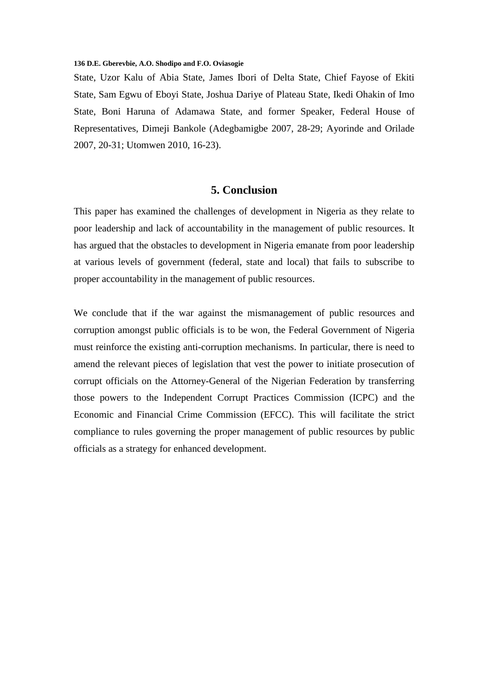State, Uzor Kalu of Abia State, James Ibori of Delta State, Chief Fayose of Ekiti State, Sam Egwu of Eboyi State, Joshua Dariye of Plateau State, Ikedi Ohakin of Imo State, Boni Haruna of Adamawa State, and former Speaker, Federal House of Representatives, Dimeji Bankole (Adegbamigbe 2007, 28-29; Ayorinde and Orilade 2007, 20-31; Utomwen 2010, 16-23).

## **5. Conclusion**

This paper has examined the challenges of development in Nigeria as they relate to poor leadership and lack of accountability in the management of public resources. It has argued that the obstacles to development in Nigeria emanate from poor leadership at various levels of government (federal, state and local) that fails to subscribe to proper accountability in the management of public resources.

We conclude that if the war against the mismanagement of public resources and corruption amongst public officials is to be won, the Federal Government of Nigeria must reinforce the existing anti-corruption mechanisms. In particular, there is need to amend the relevant pieces of legislation that vest the power to initiate prosecution of corrupt officials on the Attorney-General of the Nigerian Federation by transferring those powers to the Independent Corrupt Practices Commission (ICPC) and the Economic and Financial Crime Commission (EFCC). This will facilitate the strict compliance to rules governing the proper management of public resources by public officials as a strategy for enhanced development.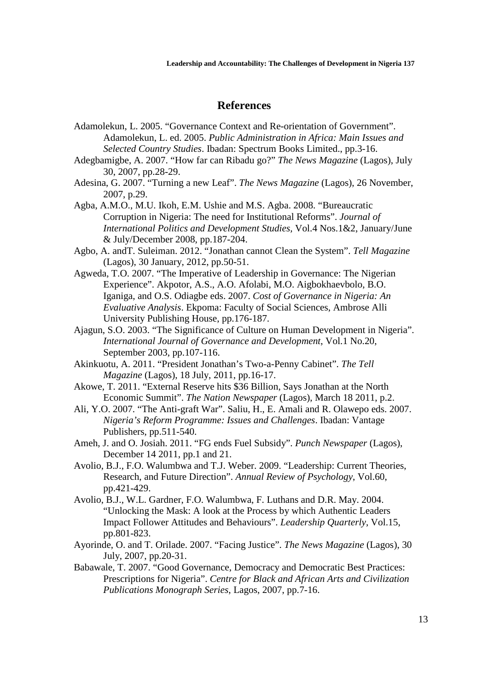## **References**

- Adamolekun, L. 2005. "Governance Context and Re-orientation of Government". Adamolekun, L. ed. 2005. *Public Administration in Africa: Main Issues and Selected Country Studies*. Ibadan: Spectrum Books Limited., pp.3-16.
- Adegbamigbe, A. 2007. "How far can Ribadu go?" *The News Magazine* (Lagos), July 30, 2007, pp.28-29.
- Adesina, G. 2007. "Turning a new Leaf". *The News Magazine* (Lagos), 26 November, 2007, p.29.
- Agba, A.M.O., M.U. Ikoh, E.M. Ushie and M.S. Agba. 2008. "Bureaucratic Corruption in Nigeria: The need for Institutional Reforms". *Journal of International Politics and Development Studies,* Vol.4 Nos.1&2, January/June & July/December 2008, pp.187-204.
- Agbo, A. andT. Suleiman. 2012. "Jonathan cannot Clean the System". *Tell Magazine*  (Lagos), 30 January, 2012, pp.50-51.
- Agweda, T.O. 2007. "The Imperative of Leadership in Governance: The Nigerian Experience". Akpotor, A.S., A.O. Afolabi, M.O. Aigbokhaevbolo, B.O. Iganiga, and O.S. Odiagbe eds. 2007. *Cost of Governance in Nigeria: An Evaluative Analysis*. Ekpoma: Faculty of Social Sciences, Ambrose Alli University Publishing House, pp.176-187.
- Ajagun, S.O. 2003. "The Significance of Culture on Human Development in Nigeria". *International Journal of Governance and Development*, Vol.1 No.20, September 2003, pp.107-116.
- Akinkuotu, A. 2011. "President Jonathan's Two-a-Penny Cabinet". *The Tell Magazine* (Lagos), 18 July, 2011, pp.16-17.
- Akowe, T. 2011. "External Reserve hits \$36 Billion, Says Jonathan at the North Economic Summit". *The Nation Newspaper* (Lagos), March 18 2011, p.2.
- Ali, Y.O. 2007. "The Anti-graft War". Saliu, H., E. Amali and R. Olawepo eds. 2007. *Nigeria's Reform Programme: Issues and Challenges*. Ibadan: Vantage Publishers, pp.511-540.
- Ameh, J. and O. Josiah. 2011. "FG ends Fuel Subsidy". *Punch Newspaper* (Lagos), December 14 2011, pp.1 and 21.
- Avolio, B.J., F.O. Walumbwa and T.J. Weber. 2009. "Leadership: Current Theories, Research, and Future Direction". *Annual Review of Psychology*, Vol.60, pp.421-429.
- Avolio, B.J., W.L. Gardner, F.O. Walumbwa, F. Luthans and D.R. May. 2004. "Unlocking the Mask: A look at the Process by which Authentic Leaders Impact Follower Attitudes and Behaviours". *Leadership Quarterly*, Vol.15, pp.801-823.
- Ayorinde, O. and T. Orilade. 2007. "Facing Justice". *The News Magazine* (Lagos), 30 July, 2007, pp.20-31.
- Babawale, T. 2007. "Good Governance, Democracy and Democratic Best Practices: Prescriptions for Nigeria". *Centre for Black and African Arts and Civilization Publications Monograph Series*, Lagos, 2007, pp.7-16.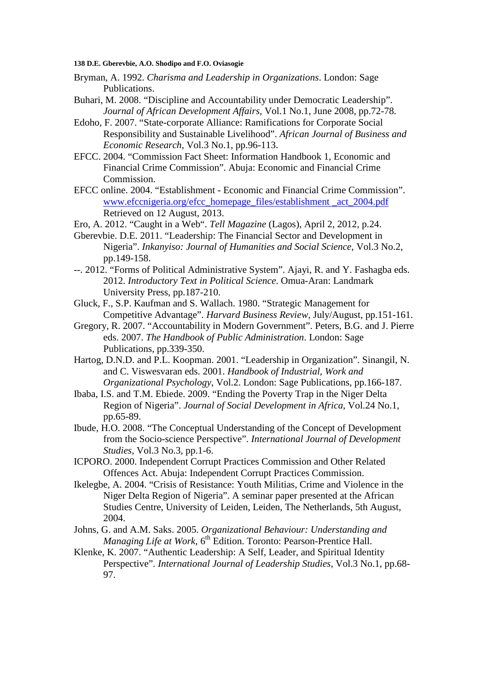- Bryman, A. 1992. *Charisma and Leadership in Organizations*. London: Sage Publications.
- Buhari, M. 2008. "Discipline and Accountability under Democratic Leadership". *Journal of African Development Affairs*, Vol.1 No.1, June 2008, pp.72-78.
- Edoho, F. 2007. "State-corporate Alliance: Ramifications for Corporate Social Responsibility and Sustainable Livelihood". *African Journal of Business and Economic Research*, Vol.3 No.1, pp.96-113.
- EFCC. 2004. "Commission Fact Sheet: Information Handbook 1, Economic and Financial Crime Commission". Abuja: Economic and Financial Crime Commission.
- EFCC online. 2004. "Establishment Economic and Financial Crime Commission". www.efccnigeria.org/efcc\_homepage\_files/establishment \_act\_2004.pdf Retrieved on 12 August, 2013.
- Ero, A. 2012. "Caught in a Web". *Tell Magazine* (Lagos), April 2, 2012, p.24.
- Gberevbie. D.E. 2011. "Leadership: The Financial Sector and Development in Nigeria". *Inkanyiso: Journal of Humanities and Social Science*, Vol.3 No.2, pp.149-158.
- --. 2012. "Forms of Political Administrative System". Ajayi, R. and Y. Fashagba eds. 2012. *Introductory Text in Political Science*. Omua-Aran: Landmark University Press, pp.187-210.
- Gluck, F., S.P. Kaufman and S. Wallach. 1980. "Strategic Management for Competitive Advantage". *Harvard Business Review*, July/August, pp.151-161.
- Gregory, R. 2007. "Accountability in Modern Government". Peters, B.G. and J. Pierre eds. 2007. *The Handbook of Public Administration*. London: Sage Publications, pp.339-350.
- Hartog, D.N.D. and P.L. Koopman. 2001. "Leadership in Organization". Sinangil, N. and C. Viswesvaran eds. 2001. *Handbook of Industrial, Work and Organizational Psychology*, Vol.2. London: Sage Publications, pp.166-187.
- Ibaba, I.S. and T.M. Ebiede. 2009. "Ending the Poverty Trap in the Niger Delta Region of Nigeria". *Journal of Social Development in Africa*, Vol.24 No.1, pp.65-89.
- Ibude, H.O. 2008. "The Conceptual Understanding of the Concept of Development from the Socio-science Perspective". *International Journal of Development Studies*, Vol.3 No.3, pp.1-6.
- ICPORO. 2000. Independent Corrupt Practices Commission and Other Related Offences Act. Abuja: Independent Corrupt Practices Commission.
- Ikelegbe, A. 2004. "Crisis of Resistance: Youth Militias, Crime and Violence in the Niger Delta Region of Nigeria". A seminar paper presented at the African Studies Centre, University of Leiden, Leiden, The Netherlands, 5th August, 2004.
- Johns, G. and A.M. Saks. 2005. *Organizational Behaviour: Understanding and Managing Life at Work*,  $6<sup>th</sup>$  Edition. Toronto: Pearson-Prentice Hall.
- Klenke, K. 2007. "Authentic Leadership: A Self, Leader, and Spiritual Identity Perspective". *International Journal of Leadership Studies*, Vol.3 No.1, pp.68- 97.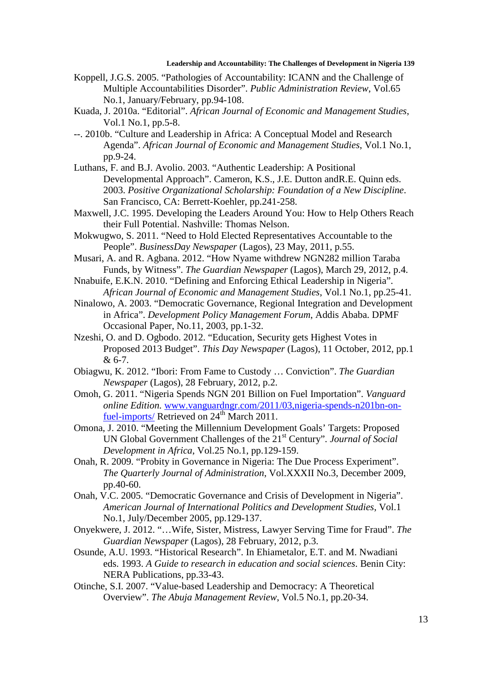- Koppell, J.G.S. 2005. "Pathologies of Accountability: ICANN and the Challenge of Multiple Accountabilities Disorder". *Public Administration Review*, Vol.65 No.1, January/February, pp.94-108.
- Kuada, J. 2010a. "Editorial". *African Journal of Economic and Management Studies*, Vol.1 No.1, pp.5-8.
- --. 2010b. "Culture and Leadership in Africa: A Conceptual Model and Research Agenda". *African Journal of Economic and Management Studies*, Vol.1 No.1, pp.9-24.
- Luthans, F. and B.J. Avolio. 2003. "Authentic Leadership: A Positional Developmental Approach". Cameron, K.S., J.E. Dutton andR.E. Quinn eds. 2003. *Positive Organizational Scholarship: Foundation of a New Discipline*. San Francisco, CA: Berrett-Koehler, pp.241-258.
- Maxwell, J.C. 1995. Developing the Leaders Around You: How to Help Others Reach their Full Potential. Nashville: Thomas Nelson.
- Mokwugwo, S. 2011. "Need to Hold Elected Representatives Accountable to the People". *BusinessDay Newspaper* (Lagos), 23 May, 2011, p.55.
- Musari, A. and R. Agbana. 2012. "How Nyame withdrew NGN282 million Taraba Funds, by Witness". *The Guardian Newspaper* (Lagos), March 29, 2012, p.4.
- Nnabuife, E.K.N. 2010. "Defining and Enforcing Ethical Leadership in Nigeria". *African Journal of Economic and Management Studies*, Vol.1 No.1, pp.25-41.
- Ninalowo, A. 2003. "Democratic Governance, Regional Integration and Development in Africa". *Development Policy Management Forum*, Addis Ababa. DPMF Occasional Paper, No.11, 2003, pp.1-32.
- Nzeshi, O. and D. Ogbodo. 2012. "Education, Security gets Highest Votes in Proposed 2013 Budget". *This Day Newspaper* (Lagos), 11 October, 2012, pp.1 & 6-7.
- Obiagwu, K. 2012. "Ibori: From Fame to Custody … Conviction". *The Guardian Newspaper* (Lagos), 28 February, 2012, p.2.
- Omoh, G. 2011. "Nigeria Spends NGN 201 Billion on Fuel Importation". *Vanguard online Edition.* www.vanguardngr.com/2011/03,nigeria-spends-n201bn-onfuel-imports/ Retrieved on 24<sup>th</sup> March 2011.
- Omona, J. 2010. "Meeting the Millennium Development Goals' Targets: Proposed UN Global Government Challenges of the 21<sup>st</sup> Century". *Journal of Social Development in Africa*, Vol.25 No.1, pp.129-159.
- Onah, R. 2009. "Probity in Governance in Nigeria: The Due Process Experiment". *The Quarterly Journal of Administration*, Vol.XXXII No.3, December 2009, pp.40-60.
- Onah, V.C. 2005. "Democratic Governance and Crisis of Development in Nigeria". *American Journal of International Politics and Development Studies*, Vol.1 No.1, July/December 2005, pp.129-137.
- Onyekwere, J. 2012. "…Wife, Sister, Mistress, Lawyer Serving Time for Fraud". *The Guardian Newspaper* (Lagos), 28 February, 2012, p.3.
- Osunde, A.U. 1993. "Historical Research". In Ehiametalor, E.T. and M. Nwadiani eds. 1993. *A Guide to research in education and social sciences*. Benin City: NERA Publications, pp.33-43.
- Otinche, S.I. 2007. "Value-based Leadership and Democracy: A Theoretical Overview". *The Abuja Management Review*, Vol.5 No.1, pp.20-34.